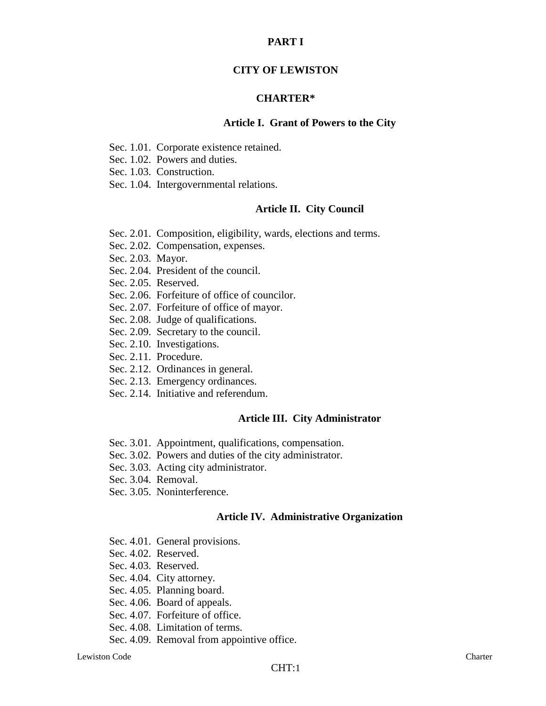### **PART I**

### **CITY OF LEWISTON**

### **CHARTER\***

#### **Article I. Grant of Powers to the City**

- Sec. 1.01. Corporate existence retained.
- Sec. 1.02. Powers and duties.
- Sec. 1.03. Construction.
- Sec. 1.04. Intergovernmental relations.

#### **Article II. City Council**

- Sec. 2.01. Composition, eligibility, wards, elections and terms.
- Sec. 2.02. Compensation, expenses.
- Sec. 2.03. Mayor.
- Sec. 2.04. President of the council.
- Sec. 2.05. Reserved.
- Sec. 2.06. Forfeiture of office of councilor.
- Sec. 2.07. Forfeiture of office of mayor.
- Sec. 2.08. Judge of qualifications.
- Sec. 2.09. Secretary to the council.
- Sec. 2.10. Investigations.
- Sec. 2.11. Procedure.
- Sec. 2.12. Ordinances in general.
- Sec. 2.13. Emergency ordinances.
- Sec. 2.14. Initiative and referendum.

### **Article III. City Administrator**

- Sec. 3.01. Appointment, qualifications, compensation.
- Sec. 3.02. Powers and duties of the city administrator.
- Sec. 3.03. Acting city administrator.
- Sec. 3.04. Removal.
- Sec. 3.05. Noninterference.

### **Article IV. Administrative Organization**

- Sec. 4.01. General provisions.
- Sec. 4.02. Reserved.
- Sec. 4.03. Reserved.
- Sec. 4.04. City attorney.
- Sec. 4.05. Planning board.
- Sec. 4.06. Board of appeals.
- Sec. 4.07. Forfeiture of office.
- Sec. 4.08. Limitation of terms.
- Sec. 4.09. Removal from appointive office.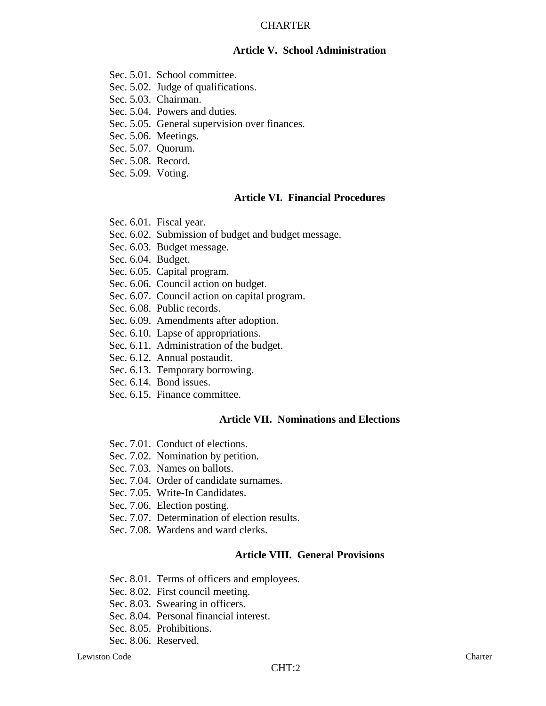## **Article V. School Administration**

- Sec. 5.01. School committee.
- Sec. 5.02. Judge of qualifications.
- Sec. 5.03. Chairman.
- Sec. 5.04. Powers and duties.
- Sec. 5.05. General supervision over finances.
- Sec. 5.06. Meetings.
- Sec. 5.07. Quorum.
- Sec. 5.08. Record.
- Sec. 5.09. Voting.

# **Article VI. Financial Procedures**

- Sec. 6.01. Fiscal year.
- Sec. 6.02. Submission of budget and budget message.
- Sec. 6.03. Budget message.
- Sec. 6.04. Budget.
- Sec. 6.05. Capital program.
- Sec. 6.06. Council action on budget.
- Sec. 6.07. Council action on capital program.
- Sec. 6.08. Public records.
- Sec. 6.09. Amendments after adoption.
- Sec. 6.10. Lapse of appropriations.
- Sec. 6.11. Administration of the budget.
- Sec. 6.12. Annual postaudit.
- Sec. 6.13. Temporary borrowing.
- Sec. 6.14. Bond issues.
- Sec. 6.15. Finance committee.

# **Article VII. Nominations and Elections**

- Sec. 7.01. Conduct of elections.
- Sec. 7.02. Nomination by petition.
- Sec. 7.03. Names on ballots.
- Sec. 7.04. Order of candidate surnames.
- Sec. 7.05. Write-In Candidates.
- Sec. 7.06. Election posting.
- Sec. 7.07. Determination of election results.
- Sec. 7.08. Wardens and ward clerks.

# **Article VIII. General Provisions**

- Sec. 8.01. Terms of officers and employees.
- Sec. 8.02. First council meeting.
- Sec. 8.03. Swearing in officers.
- Sec. 8.04. Personal financial interest.
- Sec. 8.05. Prohibitions.
- Sec. 8.06. Reserved.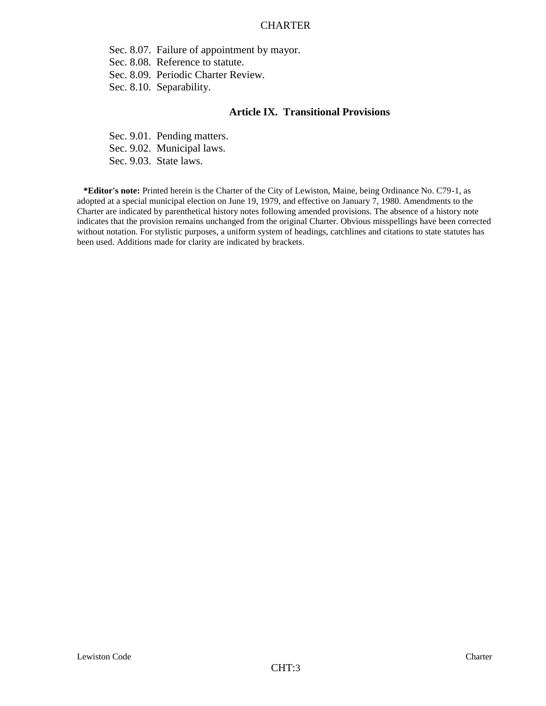Sec. 8.07. Failure of appointment by mayor.

Sec. 8.08. Reference to statute.

Sec. 8.09. Periodic Charter Review.

Sec. 8.10. Separability.

#### **Article IX. Transitional Provisions**

Sec. 9.01. Pending matters. Sec. 9.02. Municipal laws. Sec. 9.03. State laws.

**\*Editor's note:** Printed herein is the Charter of the City of Lewiston, Maine, being Ordinance No. C79-1, as adopted at a special municipal election on June 19, 1979, and effective on January 7, 1980. Amendments to the Charter are indicated by parenthetical history notes following amended provisions. The absence of a history note indicates that the provision remains unchanged from the original Charter. Obvious misspellings have been corrected without notation. For stylistic purposes, a uniform system of headings, catchlines and citations to state statutes has been used. Additions made for clarity are indicated by brackets.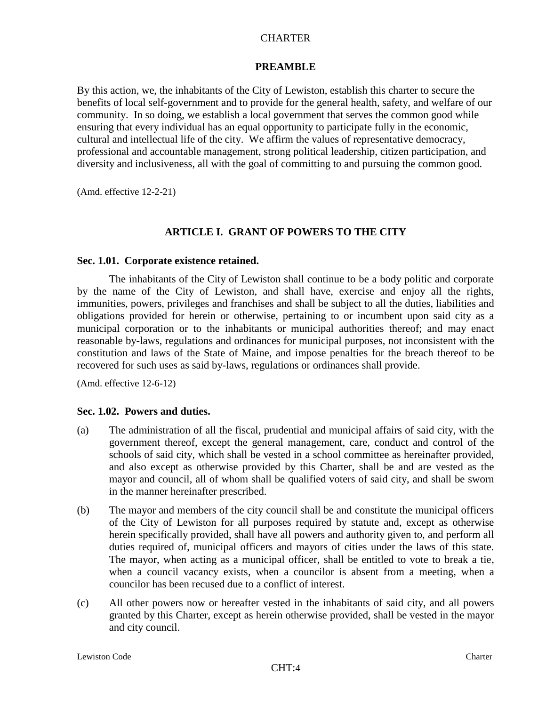## **PREAMBLE**

By this action, we, the inhabitants of the City of Lewiston, establish this charter to secure the benefits of local self-government and to provide for the general health, safety, and welfare of our community. In so doing, we establish a local government that serves the common good while ensuring that every individual has an equal opportunity to participate fully in the economic, cultural and intellectual life of the city. We affirm the values of representative democracy, professional and accountable management, strong political leadership, citizen participation, and diversity and inclusiveness, all with the goal of committing to and pursuing the common good.

(Amd. effective 12-2-21)

# **ARTICLE I. GRANT OF POWERS TO THE CITY**

### **Sec. 1.01. Corporate existence retained.**

The inhabitants of the City of Lewiston shall continue to be a body politic and corporate by the name of the City of Lewiston, and shall have, exercise and enjoy all the rights, immunities, powers, privileges and franchises and shall be subject to all the duties, liabilities and obligations provided for herein or otherwise, pertaining to or incumbent upon said city as a municipal corporation or to the inhabitants or municipal authorities thereof; and may enact reasonable by-laws, regulations and ordinances for municipal purposes, not inconsistent with the constitution and laws of the State of Maine, and impose penalties for the breach thereof to be recovered for such uses as said by-laws, regulations or ordinances shall provide.

(Amd. effective 12-6-12)

## **Sec. 1.02. Powers and duties.**

- (a) The administration of all the fiscal, prudential and municipal affairs of said city, with the government thereof, except the general management, care, conduct and control of the schools of said city, which shall be vested in a school committee as hereinafter provided, and also except as otherwise provided by this Charter, shall be and are vested as the mayor and council, all of whom shall be qualified voters of said city, and shall be sworn in the manner hereinafter prescribed.
- (b) The mayor and members of the city council shall be and constitute the municipal officers of the City of Lewiston for all purposes required by statute and, except as otherwise herein specifically provided, shall have all powers and authority given to, and perform all duties required of, municipal officers and mayors of cities under the laws of this state. The mayor, when acting as a municipal officer, shall be entitled to vote to break a tie, when a council vacancy exists, when a councilor is absent from a meeting, when a councilor has been recused due to a conflict of interest.
- (c) All other powers now or hereafter vested in the inhabitants of said city, and all powers granted by this Charter, except as herein otherwise provided, shall be vested in the mayor and city council.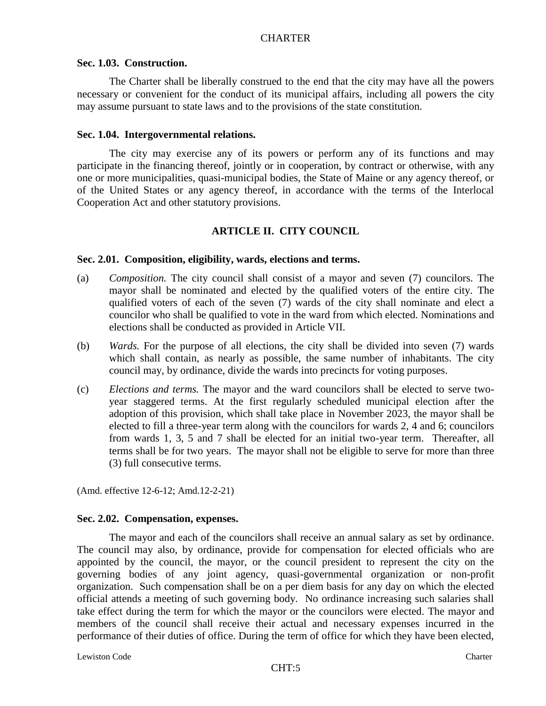### **Sec. 1.03. Construction.**

The Charter shall be liberally construed to the end that the city may have all the powers necessary or convenient for the conduct of its municipal affairs, including all powers the city may assume pursuant to state laws and to the provisions of the state constitution.

### **Sec. 1.04. Intergovernmental relations.**

The city may exercise any of its powers or perform any of its functions and may participate in the financing thereof, jointly or in cooperation, by contract or otherwise, with any one or more municipalities, quasi-municipal bodies, the State of Maine or any agency thereof, or of the United States or any agency thereof, in accordance with the terms of the Interlocal Cooperation Act and other statutory provisions.

# **ARTICLE II. CITY COUNCIL**

### **Sec. 2.01. Composition, eligibility, wards, elections and terms.**

- (a) *Composition.* The city council shall consist of a mayor and seven (7) councilors. The mayor shall be nominated and elected by the qualified voters of the entire city. The qualified voters of each of the seven (7) wards of the city shall nominate and elect a councilor who shall be qualified to vote in the ward from which elected. Nominations and elections shall be conducted as provided in Article VII.
- (b) *Wards.* For the purpose of all elections, the city shall be divided into seven (7) wards which shall contain, as nearly as possible, the same number of inhabitants. The city council may, by ordinance, divide the wards into precincts for voting purposes.
- (c) *Elections and terms.* The mayor and the ward councilors shall be elected to serve twoyear staggered terms. At the first regularly scheduled municipal election after the adoption of this provision, which shall take place in November 2023, the mayor shall be elected to fill a three-year term along with the councilors for wards 2, 4 and 6; councilors from wards 1, 3, 5 and 7 shall be elected for an initial two-year term. Thereafter, all terms shall be for two years. The mayor shall not be eligible to serve for more than three (3) full consecutive terms.

(Amd. effective 12-6-12; Amd.12-2-21)

#### **Sec. 2.02. Compensation, expenses.**

The mayor and each of the councilors shall receive an annual salary as set by ordinance. The council may also, by ordinance, provide for compensation for elected officials who are appointed by the council, the mayor, or the council president to represent the city on the governing bodies of any joint agency, quasi-governmental organization or non-profit organization. Such compensation shall be on a per diem basis for any day on which the elected official attends a meeting of such governing body. No ordinance increasing such salaries shall take effect during the term for which the mayor or the councilors were elected. The mayor and members of the council shall receive their actual and necessary expenses incurred in the performance of their duties of office. During the term of office for which they have been elected,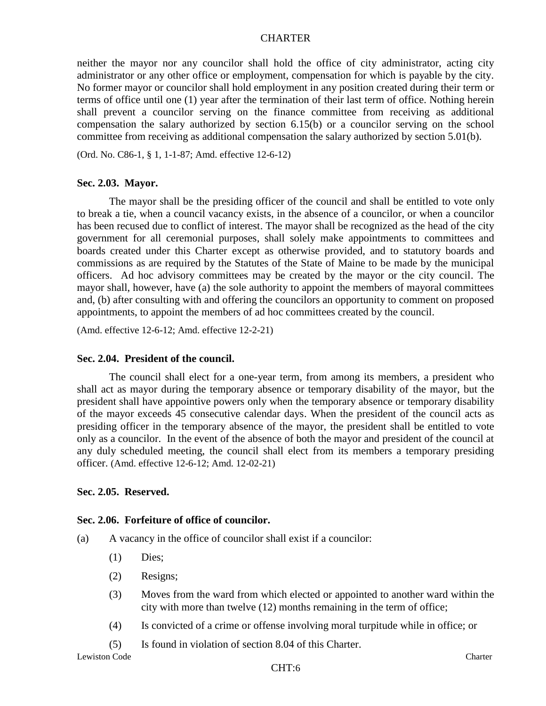neither the mayor nor any councilor shall hold the office of city administrator, acting city administrator or any other office or employment, compensation for which is payable by the city. No former mayor or councilor shall hold employment in any position created during their term or terms of office until one (1) year after the termination of their last term of office. Nothing herein shall prevent a councilor serving on the finance committee from receiving as additional compensation the salary authorized by section 6.15(b) or a councilor serving on the school committee from receiving as additional compensation the salary authorized by section 5.01(b).

(Ord. No. C86-1, § 1, 1-1-87; Amd. effective 12-6-12)

#### **Sec. 2.03. Mayor.**

The mayor shall be the presiding officer of the council and shall be entitled to vote only to break a tie, when a council vacancy exists, in the absence of a councilor, or when a councilor has been recused due to conflict of interest. The mayor shall be recognized as the head of the city government for all ceremonial purposes, shall solely make appointments to committees and boards created under this Charter except as otherwise provided, and to statutory boards and commissions as are required by the Statutes of the State of Maine to be made by the municipal officers. Ad hoc advisory committees may be created by the mayor or the city council. The mayor shall, however, have (a) the sole authority to appoint the members of mayoral committees and, (b) after consulting with and offering the councilors an opportunity to comment on proposed appointments, to appoint the members of ad hoc committees created by the council.

(Amd. effective 12-6-12; Amd. effective 12-2-21)

#### **Sec. 2.04. President of the council.**

The council shall elect for a one-year term, from among its members, a president who shall act as mayor during the temporary absence or temporary disability of the mayor, but the president shall have appointive powers only when the temporary absence or temporary disability of the mayor exceeds 45 consecutive calendar days. When the president of the council acts as presiding officer in the temporary absence of the mayor, the president shall be entitled to vote only as a councilor. In the event of the absence of both the mayor and president of the council at any duly scheduled meeting, the council shall elect from its members a temporary presiding officer. (Amd. effective 12-6-12; Amd. 12-02-21)

#### **Sec. 2.05. Reserved.**

#### **Sec. 2.06. Forfeiture of office of councilor.**

- (a) A vacancy in the office of councilor shall exist if a councilor:
	- (1) Dies;
	- (2) Resigns;
	- (3) Moves from the ward from which elected or appointed to another ward within the city with more than twelve (12) months remaining in the term of office;
	- (4) Is convicted of a crime or offense involving moral turpitude while in office; or
	- (5) Is found in violation of section 8.04 of this Charter.

Lewiston Code Charter Communication Code Charter Charter Charter Charter Charter Charter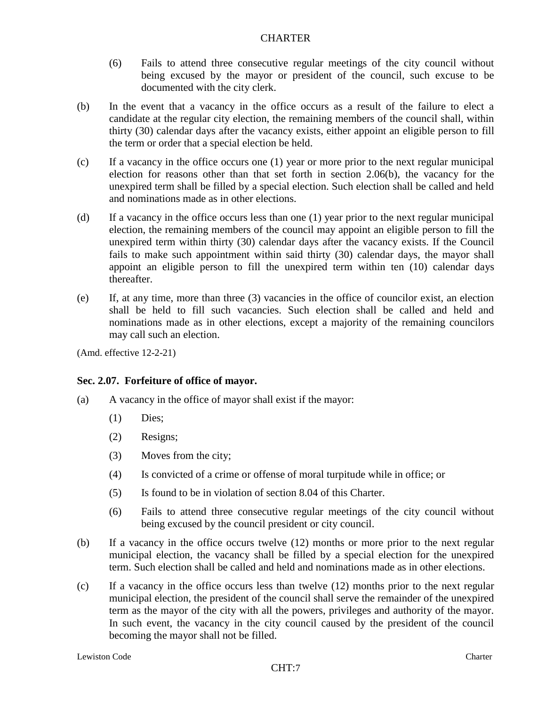- (6) Fails to attend three consecutive regular meetings of the city council without being excused by the mayor or president of the council, such excuse to be documented with the city clerk.
- (b) In the event that a vacancy in the office occurs as a result of the failure to elect a candidate at the regular city election, the remaining members of the council shall, within thirty (30) calendar days after the vacancy exists, either appoint an eligible person to fill the term or order that a special election be held.
- (c) If a vacancy in the office occurs one (1) year or more prior to the next regular municipal election for reasons other than that set forth in section 2.06(b), the vacancy for the unexpired term shall be filled by a special election. Such election shall be called and held and nominations made as in other elections.
- (d) If a vacancy in the office occurs less than one (1) year prior to the next regular municipal election, the remaining members of the council may appoint an eligible person to fill the unexpired term within thirty (30) calendar days after the vacancy exists. If the Council fails to make such appointment within said thirty (30) calendar days, the mayor shall appoint an eligible person to fill the unexpired term within ten (10) calendar days thereafter.
- (e) If, at any time, more than three (3) vacancies in the office of councilor exist, an election shall be held to fill such vacancies. Such election shall be called and held and nominations made as in other elections, except a majority of the remaining councilors may call such an election.

(Amd. effective 12-2-21)

## **Sec. 2.07. Forfeiture of office of mayor.**

- (a) A vacancy in the office of mayor shall exist if the mayor:
	- (1) Dies;
	- (2) Resigns;
	- (3) Moves from the city;
	- (4) Is convicted of a crime or offense of moral turpitude while in office; or
	- (5) Is found to be in violation of section 8.04 of this Charter.
	- (6) Fails to attend three consecutive regular meetings of the city council without being excused by the council president or city council.
- (b) If a vacancy in the office occurs twelve (12) months or more prior to the next regular municipal election, the vacancy shall be filled by a special election for the unexpired term. Such election shall be called and held and nominations made as in other elections.
- (c) If a vacancy in the office occurs less than twelve (12) months prior to the next regular municipal election, the president of the council shall serve the remainder of the unexpired term as the mayor of the city with all the powers, privileges and authority of the mayor. In such event, the vacancy in the city council caused by the president of the council becoming the mayor shall not be filled.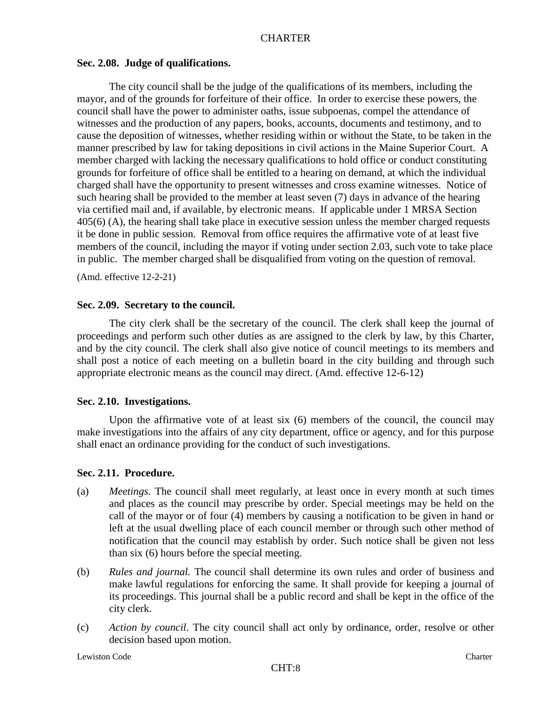#### **Sec. 2.08. Judge of qualifications.**

The city council shall be the judge of the qualifications of its members, including the mayor, and of the grounds for forfeiture of their office. In order to exercise these powers, the council shall have the power to administer oaths, issue subpoenas, compel the attendance of witnesses and the production of any papers, books, accounts, documents and testimony, and to cause the deposition of witnesses, whether residing within or without the State, to be taken in the manner prescribed by law for taking depositions in civil actions in the Maine Superior Court. A member charged with lacking the necessary qualifications to hold office or conduct constituting grounds for forfeiture of office shall be entitled to a hearing on demand, at which the individual charged shall have the opportunity to present witnesses and cross examine witnesses. Notice of such hearing shall be provided to the member at least seven (7) days in advance of the hearing via certified mail and, if available, by electronic means. If applicable under 1 MRSA Section 405(6) (A), the hearing shall take place in executive session unless the member charged requests it be done in public session. Removal from office requires the affirmative vote of at least five members of the council, including the mayor if voting under section 2.03, such vote to take place in public. The member charged shall be disqualified from voting on the question of removal.

(Amd. effective 12-2-21)

### **Sec. 2.09. Secretary to the council.**

The city clerk shall be the secretary of the council. The clerk shall keep the journal of proceedings and perform such other duties as are assigned to the clerk by law, by this Charter, and by the city council. The clerk shall also give notice of council meetings to its members and shall post a notice of each meeting on a bulletin board in the city building and through such appropriate electronic means as the council may direct. (Amd. effective 12-6-12)

## **Sec. 2.10. Investigations.**

Upon the affirmative vote of at least six (6) members of the council, the council may make investigations into the affairs of any city department, office or agency, and for this purpose shall enact an ordinance providing for the conduct of such investigations.

## **Sec. 2.11. Procedure.**

- (a) *Meetings.* The council shall meet regularly, at least once in every month at such times and places as the council may prescribe by order. Special meetings may be held on the call of the mayor or of four (4) members by causing a notification to be given in hand or left at the usual dwelling place of each council member or through such other method of notification that the council may establish by order. Such notice shall be given not less than six (6) hours before the special meeting.
- (b) *Rules and journal.* The council shall determine its own rules and order of business and make lawful regulations for enforcing the same. It shall provide for keeping a journal of its proceedings. This journal shall be a public record and shall be kept in the office of the city clerk.
- (c) *Action by council.* The city council shall act only by ordinance, order, resolve or other decision based upon motion.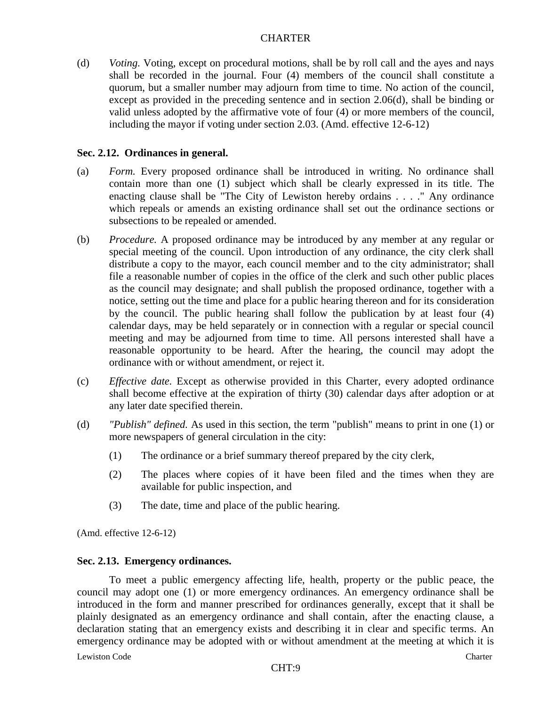(d) *Voting.* Voting, except on procedural motions, shall be by roll call and the ayes and nays shall be recorded in the journal. Four (4) members of the council shall constitute a quorum, but a smaller number may adjourn from time to time. No action of the council, except as provided in the preceding sentence and in section 2.06(d), shall be binding or valid unless adopted by the affirmative vote of four (4) or more members of the council, including the mayor if voting under section 2.03. (Amd. effective 12-6-12)

### **Sec. 2.12. Ordinances in general.**

- (a) *Form.* Every proposed ordinance shall be introduced in writing. No ordinance shall contain more than one (1) subject which shall be clearly expressed in its title. The enacting clause shall be "The City of Lewiston hereby ordains . . . ." Any ordinance which repeals or amends an existing ordinance shall set out the ordinance sections or subsections to be repealed or amended.
- (b) *Procedure.* A proposed ordinance may be introduced by any member at any regular or special meeting of the council. Upon introduction of any ordinance, the city clerk shall distribute a copy to the mayor, each council member and to the city administrator; shall file a reasonable number of copies in the office of the clerk and such other public places as the council may designate; and shall publish the proposed ordinance, together with a notice, setting out the time and place for a public hearing thereon and for its consideration by the council. The public hearing shall follow the publication by at least four (4) calendar days, may be held separately or in connection with a regular or special council meeting and may be adjourned from time to time. All persons interested shall have a reasonable opportunity to be heard. After the hearing, the council may adopt the ordinance with or without amendment, or reject it.
- (c) *Effective date.* Except as otherwise provided in this Charter, every adopted ordinance shall become effective at the expiration of thirty (30) calendar days after adoption or at any later date specified therein.
- (d) *"Publish" defined.* As used in this section, the term "publish" means to print in one (1) or more newspapers of general circulation in the city:
	- (1) The ordinance or a brief summary thereof prepared by the city clerk,
	- (2) The places where copies of it have been filed and the times when they are available for public inspection, and
	- (3) The date, time and place of the public hearing.

(Amd. effective 12-6-12)

#### **Sec. 2.13. Emergency ordinances.**

To meet a public emergency affecting life, health, property or the public peace, the council may adopt one (1) or more emergency ordinances. An emergency ordinance shall be introduced in the form and manner prescribed for ordinances generally, except that it shall be plainly designated as an emergency ordinance and shall contain, after the enacting clause, a declaration stating that an emergency exists and describing it in clear and specific terms. An emergency ordinance may be adopted with or without amendment at the meeting at which it is

Lewiston Code Charter Communication Code Charter Charter Charter Charter Charter Charter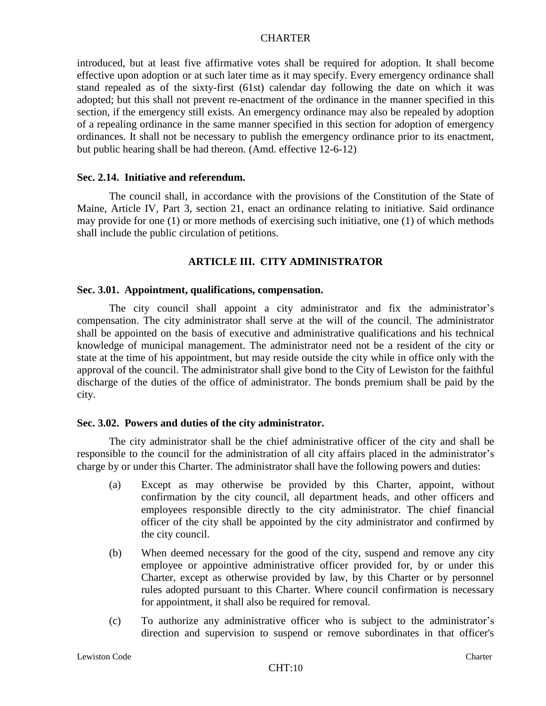introduced, but at least five affirmative votes shall be required for adoption. It shall become effective upon adoption or at such later time as it may specify. Every emergency ordinance shall stand repealed as of the sixty-first (61st) calendar day following the date on which it was adopted; but this shall not prevent re-enactment of the ordinance in the manner specified in this section, if the emergency still exists. An emergency ordinance may also be repealed by adoption of a repealing ordinance in the same manner specified in this section for adoption of emergency ordinances. It shall not be necessary to publish the emergency ordinance prior to its enactment, but public hearing shall be had thereon. (Amd. effective 12-6-12)

#### **Sec. 2.14. Initiative and referendum.**

The council shall, in accordance with the provisions of the Constitution of the State of Maine, Article IV, Part 3, section 21, enact an ordinance relating to initiative. Said ordinance may provide for one (1) or more methods of exercising such initiative, one (1) of which methods shall include the public circulation of petitions.

### **ARTICLE III. CITY ADMINISTRATOR**

#### **Sec. 3.01. Appointment, qualifications, compensation.**

The city council shall appoint a city administrator and fix the administrator's compensation. The city administrator shall serve at the will of the council. The administrator shall be appointed on the basis of executive and administrative qualifications and his technical knowledge of municipal management. The administrator need not be a resident of the city or state at the time of his appointment, but may reside outside the city while in office only with the approval of the council. The administrator shall give bond to the City of Lewiston for the faithful discharge of the duties of the office of administrator. The bonds premium shall be paid by the city.

#### **Sec. 3.02. Powers and duties of the city administrator.**

The city administrator shall be the chief administrative officer of the city and shall be responsible to the council for the administration of all city affairs placed in the administrator's charge by or under this Charter. The administrator shall have the following powers and duties:

- (a) Except as may otherwise be provided by this Charter, appoint, without confirmation by the city council, all department heads, and other officers and employees responsible directly to the city administrator. The chief financial officer of the city shall be appointed by the city administrator and confirmed by the city council.
- (b) When deemed necessary for the good of the city, suspend and remove any city employee or appointive administrative officer provided for, by or under this Charter, except as otherwise provided by law, by this Charter or by personnel rules adopted pursuant to this Charter. Where council confirmation is necessary for appointment, it shall also be required for removal.
- (c) To authorize any administrative officer who is subject to the administrator's direction and supervision to suspend or remove subordinates in that officer's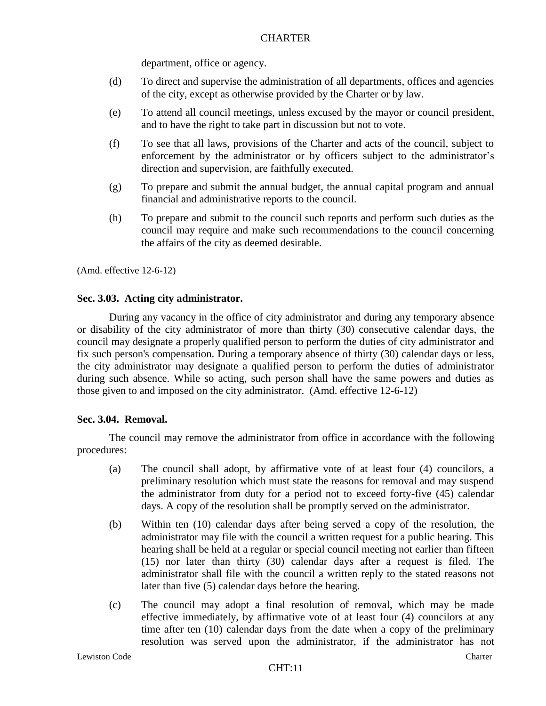department, office or agency.

- (d) To direct and supervise the administration of all departments, offices and agencies of the city, except as otherwise provided by the Charter or by law.
- (e) To attend all council meetings, unless excused by the mayor or council president, and to have the right to take part in discussion but not to vote.
- (f) To see that all laws, provisions of the Charter and acts of the council, subject to enforcement by the administrator or by officers subject to the administrator's direction and supervision, are faithfully executed.
- (g) To prepare and submit the annual budget, the annual capital program and annual financial and administrative reports to the council.
- (h) To prepare and submit to the council such reports and perform such duties as the council may require and make such recommendations to the council concerning the affairs of the city as deemed desirable.

(Amd. effective 12-6-12)

## **Sec. 3.03. Acting city administrator.**

During any vacancy in the office of city administrator and during any temporary absence or disability of the city administrator of more than thirty (30) consecutive calendar days, the council may designate a properly qualified person to perform the duties of city administrator and fix such person's compensation. During a temporary absence of thirty (30) calendar days or less, the city administrator may designate a qualified person to perform the duties of administrator during such absence. While so acting, such person shall have the same powers and duties as those given to and imposed on the city administrator. (Amd. effective 12-6-12)

## **Sec. 3.04. Removal.**

The council may remove the administrator from office in accordance with the following procedures:

- (a) The council shall adopt, by affirmative vote of at least four (4) councilors, a preliminary resolution which must state the reasons for removal and may suspend the administrator from duty for a period not to exceed forty-five (45) calendar days. A copy of the resolution shall be promptly served on the administrator.
- (b) Within ten (10) calendar days after being served a copy of the resolution, the administrator may file with the council a written request for a public hearing. This hearing shall be held at a regular or special council meeting not earlier than fifteen (15) nor later than thirty (30) calendar days after a request is filed. The administrator shall file with the council a written reply to the stated reasons not later than five (5) calendar days before the hearing.
- (c) The council may adopt a final resolution of removal, which may be made effective immediately, by affirmative vote of at least four (4) councilors at any time after ten (10) calendar days from the date when a copy of the preliminary resolution was served upon the administrator, if the administrator has not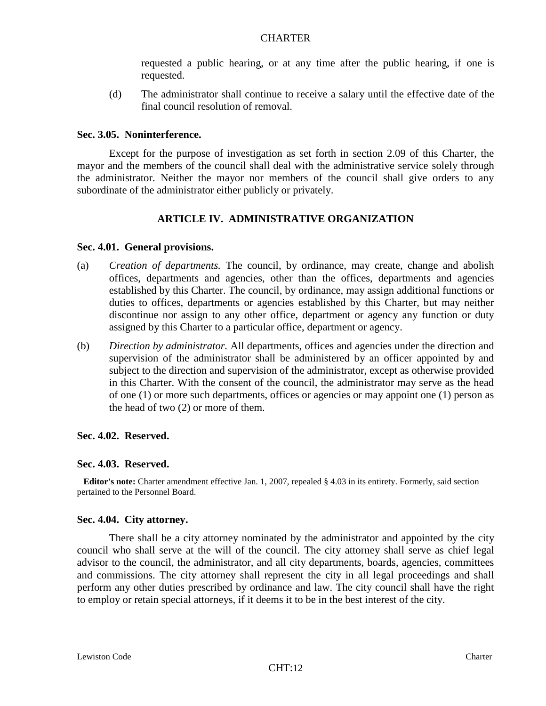requested a public hearing, or at any time after the public hearing, if one is requested.

(d) The administrator shall continue to receive a salary until the effective date of the final council resolution of removal.

### **Sec. 3.05. Noninterference.**

Except for the purpose of investigation as set forth in section 2.09 of this Charter, the mayor and the members of the council shall deal with the administrative service solely through the administrator. Neither the mayor nor members of the council shall give orders to any subordinate of the administrator either publicly or privately.

# **ARTICLE IV. ADMINISTRATIVE ORGANIZATION**

### **Sec. 4.01. General provisions.**

- (a) *Creation of departments.* The council, by ordinance, may create, change and abolish offices, departments and agencies, other than the offices, departments and agencies established by this Charter. The council, by ordinance, may assign additional functions or duties to offices, departments or agencies established by this Charter, but may neither discontinue nor assign to any other office, department or agency any function or duty assigned by this Charter to a particular office, department or agency.
- (b) *Direction by administrator.* All departments, offices and agencies under the direction and supervision of the administrator shall be administered by an officer appointed by and subject to the direction and supervision of the administrator, except as otherwise provided in this Charter. With the consent of the council, the administrator may serve as the head of one (1) or more such departments, offices or agencies or may appoint one (1) person as the head of two (2) or more of them.

## **Sec. 4.02. Reserved.**

#### **Sec. 4.03. Reserved.**

**Editor's note:** Charter amendment effective Jan. 1, 2007, repealed § 4.03 in its entirety. Formerly, said section pertained to the Personnel Board.

#### **Sec. 4.04. City attorney.**

There shall be a city attorney nominated by the administrator and appointed by the city council who shall serve at the will of the council. The city attorney shall serve as chief legal advisor to the council, the administrator, and all city departments, boards, agencies, committees and commissions. The city attorney shall represent the city in all legal proceedings and shall perform any other duties prescribed by ordinance and law. The city council shall have the right to employ or retain special attorneys, if it deems it to be in the best interest of the city.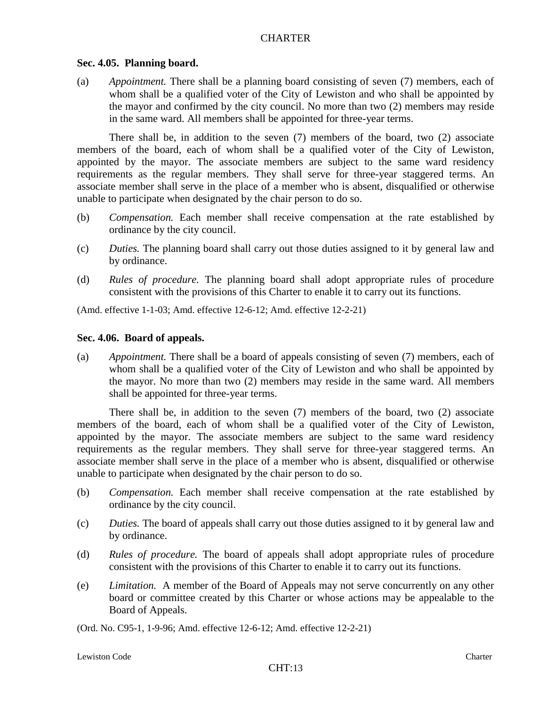#### **Sec. 4.05. Planning board.**

(a) *Appointment.* There shall be a planning board consisting of seven (7) members, each of whom shall be a qualified voter of the City of Lewiston and who shall be appointed by the mayor and confirmed by the city council. No more than two (2) members may reside in the same ward. All members shall be appointed for three-year terms.

There shall be, in addition to the seven (7) members of the board, two (2) associate members of the board, each of whom shall be a qualified voter of the City of Lewiston, appointed by the mayor. The associate members are subject to the same ward residency requirements as the regular members. They shall serve for three-year staggered terms. An associate member shall serve in the place of a member who is absent, disqualified or otherwise unable to participate when designated by the chair person to do so.

- (b) *Compensation.* Each member shall receive compensation at the rate established by ordinance by the city council.
- (c) *Duties.* The planning board shall carry out those duties assigned to it by general law and by ordinance.
- (d) *Rules of procedure.* The planning board shall adopt appropriate rules of procedure consistent with the provisions of this Charter to enable it to carry out its functions.

(Amd. effective 1-1-03; Amd. effective 12-6-12; Amd. effective 12-2-21)

#### **Sec. 4.06. Board of appeals.**

(a) *Appointment.* There shall be a board of appeals consisting of seven (7) members, each of whom shall be a qualified voter of the City of Lewiston and who shall be appointed by the mayor. No more than two (2) members may reside in the same ward. All members shall be appointed for three-year terms.

There shall be, in addition to the seven (7) members of the board, two (2) associate members of the board, each of whom shall be a qualified voter of the City of Lewiston, appointed by the mayor. The associate members are subject to the same ward residency requirements as the regular members. They shall serve for three-year staggered terms. An associate member shall serve in the place of a member who is absent, disqualified or otherwise unable to participate when designated by the chair person to do so.

- (b) *Compensation.* Each member shall receive compensation at the rate established by ordinance by the city council.
- (c) *Duties.* The board of appeals shall carry out those duties assigned to it by general law and by ordinance.
- (d) *Rules of procedure.* The board of appeals shall adopt appropriate rules of procedure consistent with the provisions of this Charter to enable it to carry out its functions.
- (e) *Limitation.* A member of the Board of Appeals may not serve concurrently on any other board or committee created by this Charter or whose actions may be appealable to the Board of Appeals.

(Ord. No. C95-1, 1-9-96; Amd. effective 12-6-12; Amd. effective 12-2-21)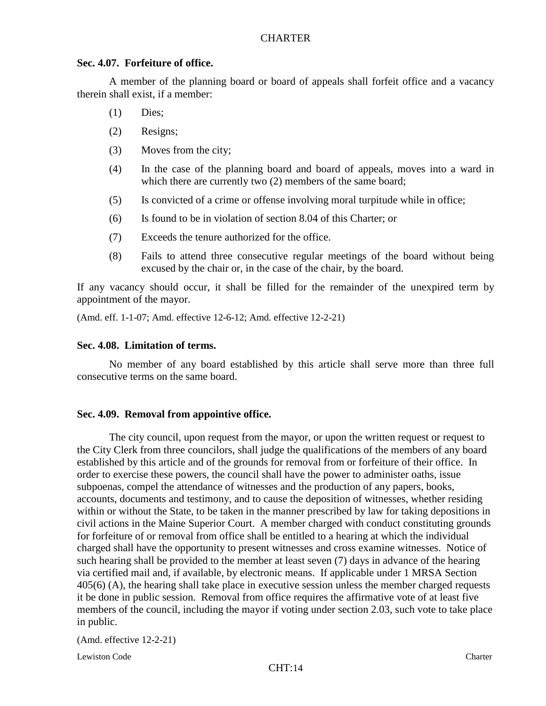### **Sec. 4.07. Forfeiture of office.**

A member of the planning board or board of appeals shall forfeit office and a vacancy therein shall exist, if a member:

- (1) Dies;
- (2) Resigns;
- (3) Moves from the city;
- (4) In the case of the planning board and board of appeals, moves into a ward in which there are currently two  $(2)$  members of the same board;
- (5) Is convicted of a crime or offense involving moral turpitude while in office;
- (6) Is found to be in violation of section 8.04 of this Charter; or
- (7) Exceeds the tenure authorized for the office.
- (8) Fails to attend three consecutive regular meetings of the board without being excused by the chair or, in the case of the chair, by the board.

If any vacancy should occur, it shall be filled for the remainder of the unexpired term by appointment of the mayor.

(Amd. eff. 1-1-07; Amd. effective 12-6-12; Amd. effective 12-2-21)

# **Sec. 4.08. Limitation of terms.**

No member of any board established by this article shall serve more than three full consecutive terms on the same board.

## **Sec. 4.09. Removal from appointive office.**

The city council, upon request from the mayor, or upon the written request or request to the City Clerk from three councilors, shall judge the qualifications of the members of any board established by this article and of the grounds for removal from or forfeiture of their office. In order to exercise these powers, the council shall have the power to administer oaths, issue subpoenas, compel the attendance of witnesses and the production of any papers, books, accounts, documents and testimony, and to cause the deposition of witnesses, whether residing within or without the State, to be taken in the manner prescribed by law for taking depositions in civil actions in the Maine Superior Court. A member charged with conduct constituting grounds for forfeiture of or removal from office shall be entitled to a hearing at which the individual charged shall have the opportunity to present witnesses and cross examine witnesses. Notice of such hearing shall be provided to the member at least seven (7) days in advance of the hearing via certified mail and, if available, by electronic means. If applicable under 1 MRSA Section 405(6) (A), the hearing shall take place in executive session unless the member charged requests it be done in public session. Removal from office requires the affirmative vote of at least five members of the council, including the mayor if voting under section 2.03, such vote to take place in public.

(Amd. effective 12-2-21)

Lewiston Code Charter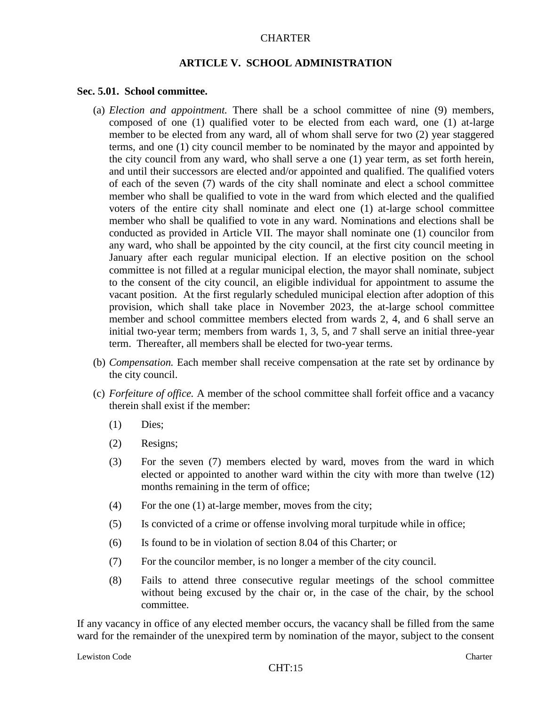#### **ARTICLE V. SCHOOL ADMINISTRATION**

#### **Sec. 5.01. School committee.**

- (a) *Election and appointment.* There shall be a school committee of nine (9) members, composed of one (1) qualified voter to be elected from each ward, one (1) at-large member to be elected from any ward, all of whom shall serve for two (2) year staggered terms, and one (1) city council member to be nominated by the mayor and appointed by the city council from any ward, who shall serve a one (1) year term, as set forth herein, and until their successors are elected and/or appointed and qualified. The qualified voters of each of the seven (7) wards of the city shall nominate and elect a school committee member who shall be qualified to vote in the ward from which elected and the qualified voters of the entire city shall nominate and elect one (1) at-large school committee member who shall be qualified to vote in any ward. Nominations and elections shall be conducted as provided in Article VII. The mayor shall nominate one (1) councilor from any ward, who shall be appointed by the city council, at the first city council meeting in January after each regular municipal election. If an elective position on the school committee is not filled at a regular municipal election, the mayor shall nominate, subject to the consent of the city council, an eligible individual for appointment to assume the vacant position. At the first regularly scheduled municipal election after adoption of this provision, which shall take place in November 2023, the at-large school committee member and school committee members elected from wards 2, 4, and 6 shall serve an initial two-year term; members from wards 1, 3, 5, and 7 shall serve an initial three-year term. Thereafter, all members shall be elected for two-year terms.
- (b) *Compensation.* Each member shall receive compensation at the rate set by ordinance by the city council.
- (c) *Forfeiture of office.* A member of the school committee shall forfeit office and a vacancy therein shall exist if the member:
	- (1) Dies;
	- (2) Resigns;
	- (3) For the seven (7) members elected by ward, moves from the ward in which elected or appointed to another ward within the city with more than twelve (12) months remaining in the term of office;
	- (4) For the one (1) at-large member, moves from the city;
	- (5) Is convicted of a crime or offense involving moral turpitude while in office;
	- (6) Is found to be in violation of section 8.04 of this Charter; or
	- (7) For the councilor member, is no longer a member of the city council.
	- (8) Fails to attend three consecutive regular meetings of the school committee without being excused by the chair or, in the case of the chair, by the school committee.

If any vacancy in office of any elected member occurs, the vacancy shall be filled from the same ward for the remainder of the unexpired term by nomination of the mayor, subject to the consent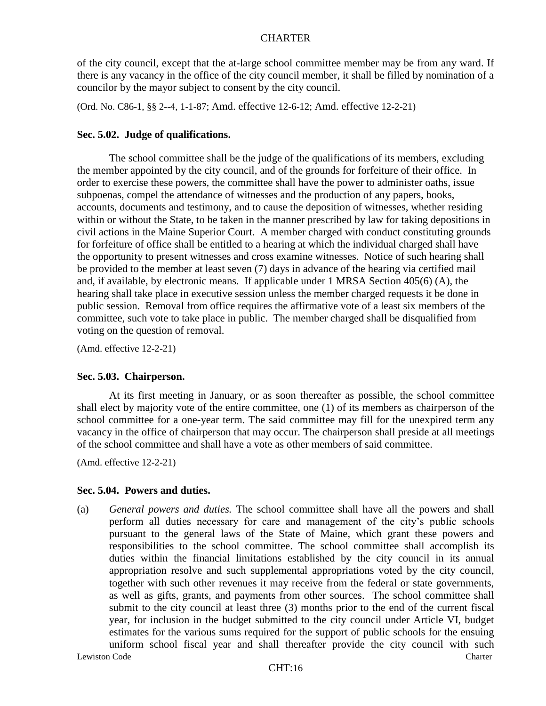of the city council, except that the at-large school committee member may be from any ward. If there is any vacancy in the office of the city council member, it shall be filled by nomination of a councilor by the mayor subject to consent by the city council.

(Ord. No. C86-1, §§ 2--4, 1-1-87; Amd. effective 12-6-12; Amd. effective 12-2-21)

### **Sec. 5.02. Judge of qualifications.**

The school committee shall be the judge of the qualifications of its members, excluding the member appointed by the city council, and of the grounds for forfeiture of their office. In order to exercise these powers, the committee shall have the power to administer oaths, issue subpoenas, compel the attendance of witnesses and the production of any papers, books, accounts, documents and testimony, and to cause the deposition of witnesses, whether residing within or without the State, to be taken in the manner prescribed by law for taking depositions in civil actions in the Maine Superior Court. A member charged with conduct constituting grounds for forfeiture of office shall be entitled to a hearing at which the individual charged shall have the opportunity to present witnesses and cross examine witnesses. Notice of such hearing shall be provided to the member at least seven (7) days in advance of the hearing via certified mail and, if available, by electronic means. If applicable under 1 MRSA Section 405(6) (A), the hearing shall take place in executive session unless the member charged requests it be done in public session. Removal from office requires the affirmative vote of a least six members of the committee, such vote to take place in public. The member charged shall be disqualified from voting on the question of removal.

(Amd. effective 12-2-21)

#### **Sec. 5.03. Chairperson.**

At its first meeting in January, or as soon thereafter as possible, the school committee shall elect by majority vote of the entire committee, one (1) of its members as chairperson of the school committee for a one-year term. The said committee may fill for the unexpired term any vacancy in the office of chairperson that may occur. The chairperson shall preside at all meetings of the school committee and shall have a vote as other members of said committee.

(Amd. effective 12-2-21)

#### **Sec. 5.04. Powers and duties.**

Lewiston Code Charter Communication Code Charter Charter Charter Charter Charter Charter Charter Charter Charter (a) *General powers and duties.* The school committee shall have all the powers and shall perform all duties necessary for care and management of the city's public schools pursuant to the general laws of the State of Maine, which grant these powers and responsibilities to the school committee. The school committee shall accomplish its duties within the financial limitations established by the city council in its annual appropriation resolve and such supplemental appropriations voted by the city council, together with such other revenues it may receive from the federal or state governments, as well as gifts, grants, and payments from other sources. The school committee shall submit to the city council at least three (3) months prior to the end of the current fiscal year, for inclusion in the budget submitted to the city council under Article VI, budget estimates for the various sums required for the support of public schools for the ensuing uniform school fiscal year and shall thereafter provide the city council with such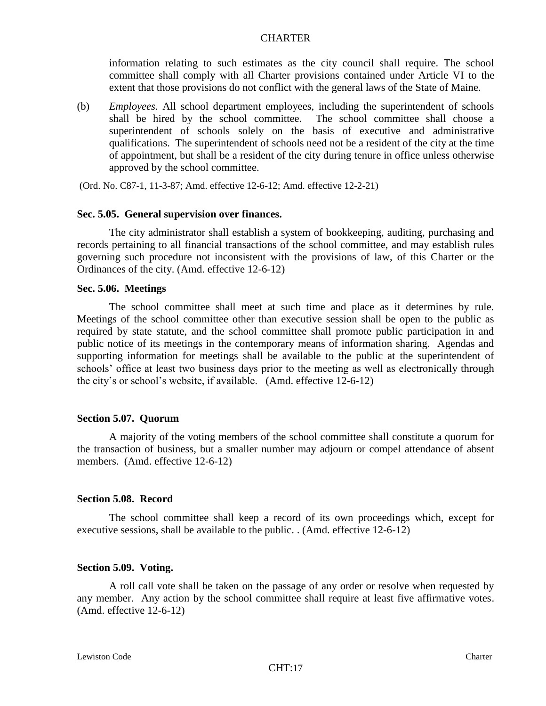information relating to such estimates as the city council shall require. The school committee shall comply with all Charter provisions contained under Article VI to the extent that those provisions do not conflict with the general laws of the State of Maine.

(b) *Employees.* All school department employees, including the superintendent of schools shall be hired by the school committee. The school committee shall choose a superintendent of schools solely on the basis of executive and administrative qualifications. The superintendent of schools need not be a resident of the city at the time of appointment, but shall be a resident of the city during tenure in office unless otherwise approved by the school committee.

(Ord. No. C87-1, 11-3-87; Amd. effective 12-6-12; Amd. effective 12-2-21)

#### **Sec. 5.05. General supervision over finances.**

The city administrator shall establish a system of bookkeeping, auditing, purchasing and records pertaining to all financial transactions of the school committee, and may establish rules governing such procedure not inconsistent with the provisions of law, of this Charter or the Ordinances of the city. (Amd. effective 12-6-12)

#### **Sec. 5.06. Meetings**

The school committee shall meet at such time and place as it determines by rule. Meetings of the school committee other than executive session shall be open to the public as required by state statute, and the school committee shall promote public participation in and public notice of its meetings in the contemporary means of information sharing. Agendas and supporting information for meetings shall be available to the public at the superintendent of schools' office at least two business days prior to the meeting as well as electronically through the city's or school's website, if available. (Amd. effective 12-6-12)

#### **Section 5.07. Quorum**

A majority of the voting members of the school committee shall constitute a quorum for the transaction of business, but a smaller number may adjourn or compel attendance of absent members. (Amd. effective 12-6-12)

#### **Section 5.08. Record**

The school committee shall keep a record of its own proceedings which, except for executive sessions, shall be available to the public. . (Amd. effective 12-6-12)

#### **Section 5.09. Voting.**

A roll call vote shall be taken on the passage of any order or resolve when requested by any member. Any action by the school committee shall require at least five affirmative votes. (Amd. effective 12-6-12)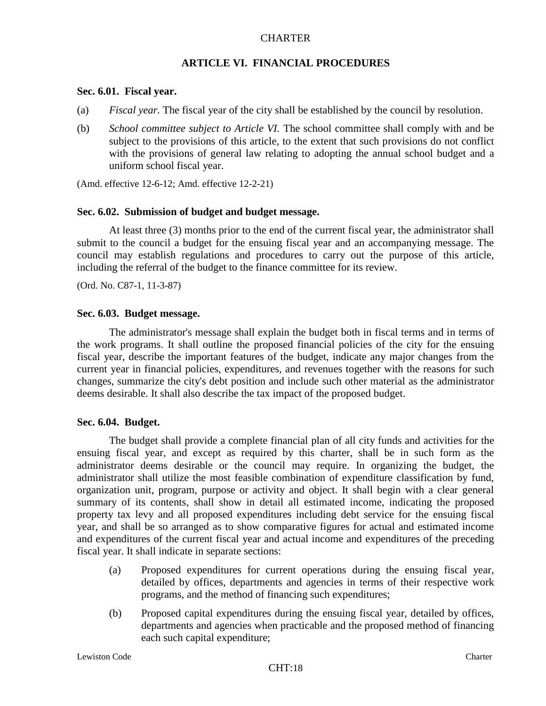### **ARTICLE VI. FINANCIAL PROCEDURES**

#### **Sec. 6.01. Fiscal year.**

- (a) *Fiscal year.* The fiscal year of the city shall be established by the council by resolution.
- (b) *School committee subject to Article VI.* The school committee shall comply with and be subject to the provisions of this article, to the extent that such provisions do not conflict with the provisions of general law relating to adopting the annual school budget and a uniform school fiscal year.

(Amd. effective 12-6-12; Amd. effective 12-2-21)

#### **Sec. 6.02. Submission of budget and budget message.**

At least three (3) months prior to the end of the current fiscal year, the administrator shall submit to the council a budget for the ensuing fiscal year and an accompanying message. The council may establish regulations and procedures to carry out the purpose of this article, including the referral of the budget to the finance committee for its review.

(Ord. No. C87-1, 11-3-87)

#### **Sec. 6.03. Budget message.**

The administrator's message shall explain the budget both in fiscal terms and in terms of the work programs. It shall outline the proposed financial policies of the city for the ensuing fiscal year, describe the important features of the budget, indicate any major changes from the current year in financial policies, expenditures, and revenues together with the reasons for such changes, summarize the city's debt position and include such other material as the administrator deems desirable. It shall also describe the tax impact of the proposed budget.

#### **Sec. 6.04. Budget.**

The budget shall provide a complete financial plan of all city funds and activities for the ensuing fiscal year, and except as required by this charter, shall be in such form as the administrator deems desirable or the council may require. In organizing the budget, the administrator shall utilize the most feasible combination of expenditure classification by fund, organization unit, program, purpose or activity and object. It shall begin with a clear general summary of its contents, shall show in detail all estimated income, indicating the proposed property tax levy and all proposed expenditures including debt service for the ensuing fiscal year, and shall be so arranged as to show comparative figures for actual and estimated income and expenditures of the current fiscal year and actual income and expenditures of the preceding fiscal year. It shall indicate in separate sections:

- (a) Proposed expenditures for current operations during the ensuing fiscal year, detailed by offices, departments and agencies in terms of their respective work programs, and the method of financing such expenditures;
- (b) Proposed capital expenditures during the ensuing fiscal year, detailed by offices, departments and agencies when practicable and the proposed method of financing each such capital expenditure;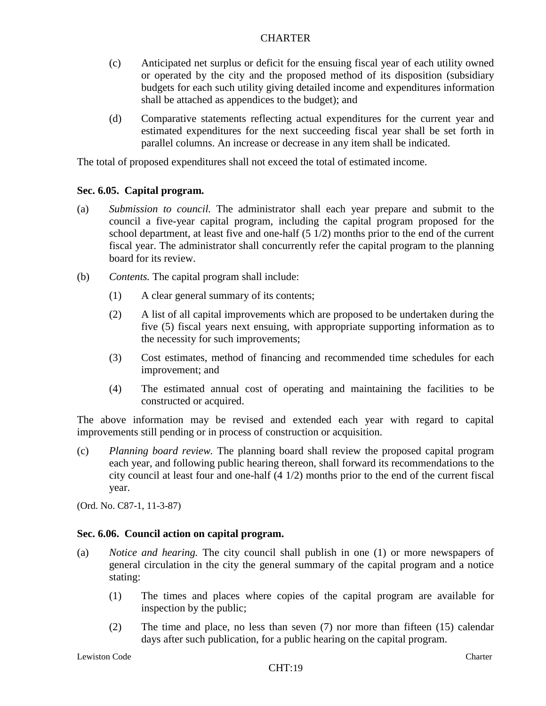- (c) Anticipated net surplus or deficit for the ensuing fiscal year of each utility owned or operated by the city and the proposed method of its disposition (subsidiary budgets for each such utility giving detailed income and expenditures information shall be attached as appendices to the budget); and
- (d) Comparative statements reflecting actual expenditures for the current year and estimated expenditures for the next succeeding fiscal year shall be set forth in parallel columns. An increase or decrease in any item shall be indicated.

The total of proposed expenditures shall not exceed the total of estimated income.

## **Sec. 6.05. Capital program.**

- (a) *Submission to council.* The administrator shall each year prepare and submit to the council a five-year capital program, including the capital program proposed for the school department, at least five and one-half (5 1/2) months prior to the end of the current fiscal year. The administrator shall concurrently refer the capital program to the planning board for its review.
- (b) *Contents.* The capital program shall include:
	- (1) A clear general summary of its contents;
	- (2) A list of all capital improvements which are proposed to be undertaken during the five (5) fiscal years next ensuing, with appropriate supporting information as to the necessity for such improvements;
	- (3) Cost estimates, method of financing and recommended time schedules for each improvement; and
	- (4) The estimated annual cost of operating and maintaining the facilities to be constructed or acquired.

The above information may be revised and extended each year with regard to capital improvements still pending or in process of construction or acquisition.

(c) *Planning board review.* The planning board shall review the proposed capital program each year, and following public hearing thereon, shall forward its recommendations to the city council at least four and one-half (4 1/2) months prior to the end of the current fiscal year.

(Ord. No. C87-1, 11-3-87)

## **Sec. 6.06. Council action on capital program.**

- (a) *Notice and hearing.* The city council shall publish in one (1) or more newspapers of general circulation in the city the general summary of the capital program and a notice stating:
	- (1) The times and places where copies of the capital program are available for inspection by the public;
	- (2) The time and place, no less than seven (7) nor more than fifteen (15) calendar days after such publication, for a public hearing on the capital program.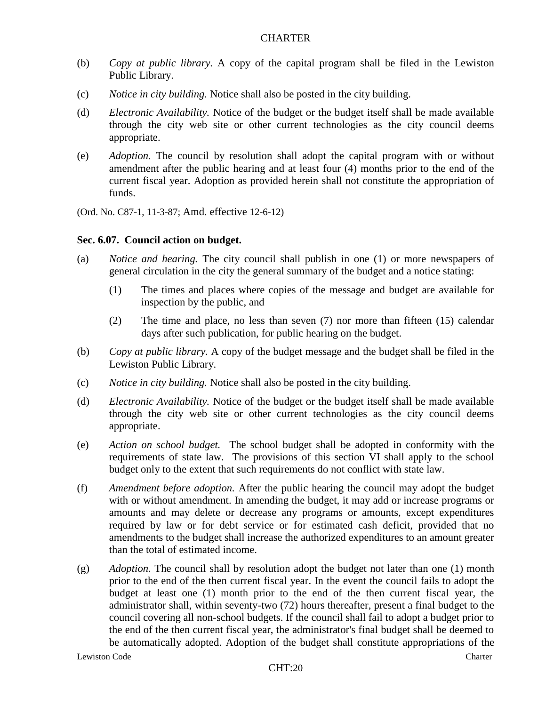- (b) *Copy at public library.* A copy of the capital program shall be filed in the Lewiston Public Library.
- (c) *Notice in city building.* Notice shall also be posted in the city building.
- (d) *Electronic Availability.* Notice of the budget or the budget itself shall be made available through the city web site or other current technologies as the city council deems appropriate.
- (e) *Adoption.* The council by resolution shall adopt the capital program with or without amendment after the public hearing and at least four (4) months prior to the end of the current fiscal year. Adoption as provided herein shall not constitute the appropriation of funds.

(Ord. No. C87-1, 11-3-87; Amd. effective 12-6-12)

## **Sec. 6.07. Council action on budget.**

- (a) *Notice and hearing.* The city council shall publish in one (1) or more newspapers of general circulation in the city the general summary of the budget and a notice stating:
	- (1) The times and places where copies of the message and budget are available for inspection by the public, and
	- (2) The time and place, no less than seven (7) nor more than fifteen (15) calendar days after such publication, for public hearing on the budget.
- (b) *Copy at public library.* A copy of the budget message and the budget shall be filed in the Lewiston Public Library.
- (c) *Notice in city building.* Notice shall also be posted in the city building.
- (d) *Electronic Availability.* Notice of the budget or the budget itself shall be made available through the city web site or other current technologies as the city council deems appropriate.
- (e) *Action on school budget.* The school budget shall be adopted in conformity with the requirements of state law. The provisions of this section VI shall apply to the school budget only to the extent that such requirements do not conflict with state law.
- (f) *Amendment before adoption.* After the public hearing the council may adopt the budget with or without amendment. In amending the budget, it may add or increase programs or amounts and may delete or decrease any programs or amounts, except expenditures required by law or for debt service or for estimated cash deficit, provided that no amendments to the budget shall increase the authorized expenditures to an amount greater than the total of estimated income.
- (g) *Adoption.* The council shall by resolution adopt the budget not later than one (1) month prior to the end of the then current fiscal year. In the event the council fails to adopt the budget at least one (1) month prior to the end of the then current fiscal year, the administrator shall, within seventy-two (72) hours thereafter, present a final budget to the council covering all non-school budgets. If the council shall fail to adopt a budget prior to the end of the then current fiscal year, the administrator's final budget shall be deemed to be automatically adopted. Adoption of the budget shall constitute appropriations of the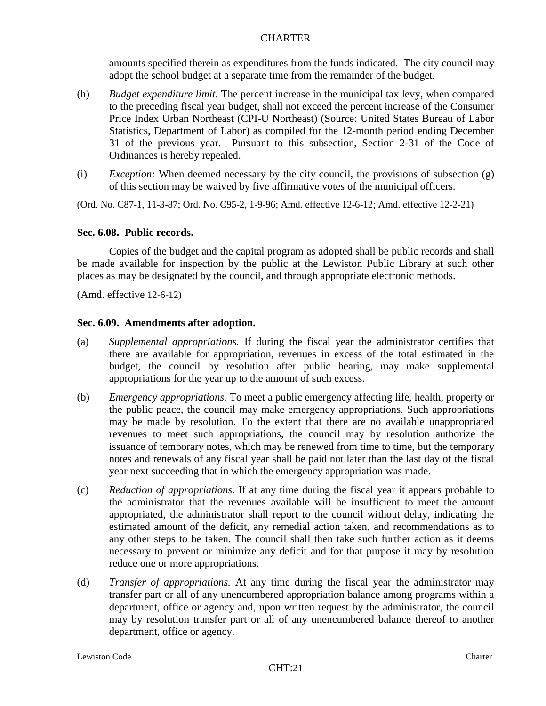amounts specified therein as expenditures from the funds indicated. The city council may adopt the school budget at a separate time from the remainder of the budget.

- (h) *Budget expenditure limit*. The percent increase in the municipal tax levy, when compared to the preceding fiscal year budget, shall not exceed the percent increase of the Consumer Price Index Urban Northeast (CPI-U Northeast) (Source: United States Bureau of Labor Statistics, Department of Labor) as compiled for the 12-month period ending December 31 of the previous year. Pursuant to this subsection, Section 2-31 of the Code of Ordinances is hereby repealed.
- (i) *Exception:* When deemed necessary by the city council, the provisions of subsection  $(g)$ of this section may be waived by five affirmative votes of the municipal officers.

(Ord. No. C87-1, 11-3-87; Ord. No. C95-2, 1-9-96; Amd. effective 12-6-12; Amd. effective 12-2-21)

### **Sec. 6.08. Public records.**

Copies of the budget and the capital program as adopted shall be public records and shall be made available for inspection by the public at the Lewiston Public Library at such other places as may be designated by the council, and through appropriate electronic methods.

(Amd. effective 12-6-12)

## **Sec. 6.09. Amendments after adoption.**

- (a) *Supplemental appropriations.* If during the fiscal year the administrator certifies that there are available for appropriation, revenues in excess of the total estimated in the budget, the council by resolution after public hearing, may make supplemental appropriations for the year up to the amount of such excess.
- (b) *Emergency appropriations.* To meet a public emergency affecting life, health, property or the public peace, the council may make emergency appropriations. Such appropriations may be made by resolution. To the extent that there are no available unappropriated revenues to meet such appropriations, the council may by resolution authorize the issuance of temporary notes, which may be renewed from time to time, but the temporary notes and renewals of any fiscal year shall be paid not later than the last day of the fiscal year next succeeding that in which the emergency appropriation was made.
- (c) *Reduction of appropriations.* If at any time during the fiscal year it appears probable to the administrator that the revenues available will be insufficient to meet the amount appropriated, the administrator shall report to the council without delay, indicating the estimated amount of the deficit, any remedial action taken, and recommendations as to any other steps to be taken. The council shall then take such further action as it deems necessary to prevent or minimize any deficit and for that purpose it may by resolution reduce one or more appropriations.
- (d) *Transfer of appropriations.* At any time during the fiscal year the administrator may transfer part or all of any unencumbered appropriation balance among programs within a department, office or agency and, upon written request by the administrator, the council may by resolution transfer part or all of any unencumbered balance thereof to another department, office or agency.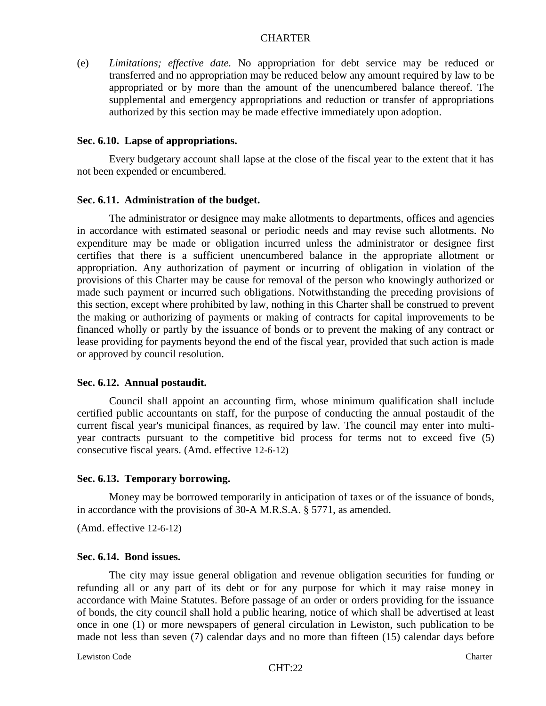(e) *Limitations; effective date.* No appropriation for debt service may be reduced or transferred and no appropriation may be reduced below any amount required by law to be appropriated or by more than the amount of the unencumbered balance thereof. The supplemental and emergency appropriations and reduction or transfer of appropriations authorized by this section may be made effective immediately upon adoption.

#### **Sec. 6.10. Lapse of appropriations.**

Every budgetary account shall lapse at the close of the fiscal year to the extent that it has not been expended or encumbered.

#### **Sec. 6.11. Administration of the budget.**

The administrator or designee may make allotments to departments, offices and agencies in accordance with estimated seasonal or periodic needs and may revise such allotments. No expenditure may be made or obligation incurred unless the administrator or designee first certifies that there is a sufficient unencumbered balance in the appropriate allotment or appropriation. Any authorization of payment or incurring of obligation in violation of the provisions of this Charter may be cause for removal of the person who knowingly authorized or made such payment or incurred such obligations. Notwithstanding the preceding provisions of this section, except where prohibited by law, nothing in this Charter shall be construed to prevent the making or authorizing of payments or making of contracts for capital improvements to be financed wholly or partly by the issuance of bonds or to prevent the making of any contract or lease providing for payments beyond the end of the fiscal year, provided that such action is made or approved by council resolution.

### **Sec. 6.12. Annual postaudit.**

Council shall appoint an accounting firm, whose minimum qualification shall include certified public accountants on staff, for the purpose of conducting the annual postaudit of the current fiscal year's municipal finances, as required by law. The council may enter into multiyear contracts pursuant to the competitive bid process for terms not to exceed five (5) consecutive fiscal years. (Amd. effective 12-6-12)

#### **Sec. 6.13. Temporary borrowing.**

Money may be borrowed temporarily in anticipation of taxes or of the issuance of bonds, in accordance with the provisions of 30-A M.R.S.A. § 5771, as amended.

(Amd. effective 12-6-12)

#### **Sec. 6.14. Bond issues.**

The city may issue general obligation and revenue obligation securities for funding or refunding all or any part of its debt or for any purpose for which it may raise money in accordance with Maine Statutes. Before passage of an order or orders providing for the issuance of bonds, the city council shall hold a public hearing, notice of which shall be advertised at least once in one (1) or more newspapers of general circulation in Lewiston, such publication to be made not less than seven (7) calendar days and no more than fifteen (15) calendar days before

Lewiston Code Charter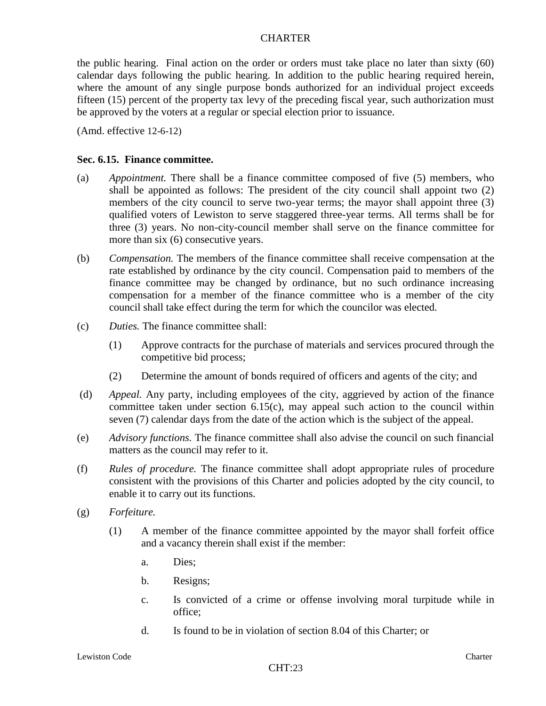the public hearing. Final action on the order or orders must take place no later than sixty (60) calendar days following the public hearing. In addition to the public hearing required herein, where the amount of any single purpose bonds authorized for an individual project exceeds fifteen (15) percent of the property tax levy of the preceding fiscal year, such authorization must be approved by the voters at a regular or special election prior to issuance.

(Amd. effective 12-6-12)

#### **Sec. 6.15. Finance committee.**

- (a) *Appointment.* There shall be a finance committee composed of five (5) members, who shall be appointed as follows: The president of the city council shall appoint two (2) members of the city council to serve two-year terms; the mayor shall appoint three (3) qualified voters of Lewiston to serve staggered three-year terms. All terms shall be for three (3) years. No non-city-council member shall serve on the finance committee for more than six (6) consecutive years.
- (b) *Compensation.* The members of the finance committee shall receive compensation at the rate established by ordinance by the city council. Compensation paid to members of the finance committee may be changed by ordinance, but no such ordinance increasing compensation for a member of the finance committee who is a member of the city council shall take effect during the term for which the councilor was elected.
- (c) *Duties.* The finance committee shall:
	- (1) Approve contracts for the purchase of materials and services procured through the competitive bid process;
	- (2) Determine the amount of bonds required of officers and agents of the city; and
- (d) *Appeal.* Any party, including employees of the city, aggrieved by action of the finance committee taken under section 6.15(c), may appeal such action to the council within seven (7) calendar days from the date of the action which is the subject of the appeal.
- (e) *Advisory functions.* The finance committee shall also advise the council on such financial matters as the council may refer to it.
- (f) *Rules of procedure.* The finance committee shall adopt appropriate rules of procedure consistent with the provisions of this Charter and policies adopted by the city council, to enable it to carry out its functions.
- (g) *Forfeiture.*
	- (1) A member of the finance committee appointed by the mayor shall forfeit office and a vacancy therein shall exist if the member:
		- a. Dies;
		- b. Resigns;
		- c. Is convicted of a crime or offense involving moral turpitude while in office;
		- d. Is found to be in violation of section 8.04 of this Charter; or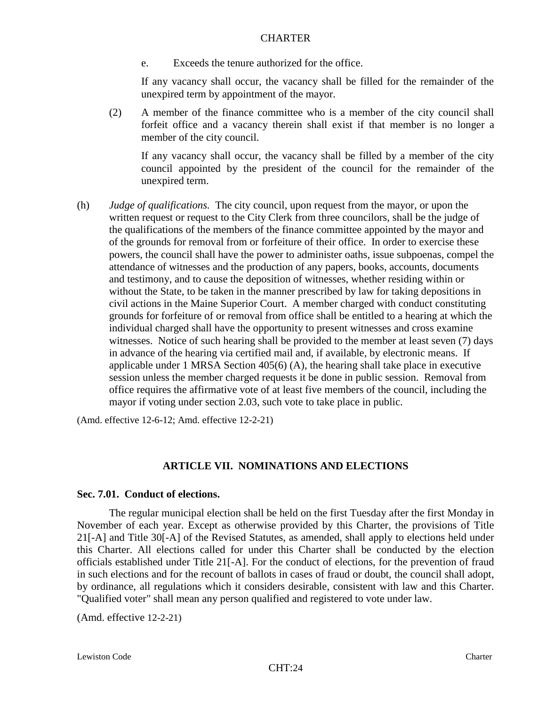e. Exceeds the tenure authorized for the office.

If any vacancy shall occur, the vacancy shall be filled for the remainder of the unexpired term by appointment of the mayor.

(2) A member of the finance committee who is a member of the city council shall forfeit office and a vacancy therein shall exist if that member is no longer a member of the city council.

If any vacancy shall occur, the vacancy shall be filled by a member of the city council appointed by the president of the council for the remainder of the unexpired term.

(h) *Judge of qualifications.* The city council, upon request from the mayor, or upon the written request or request to the City Clerk from three councilors, shall be the judge of the qualifications of the members of the finance committee appointed by the mayor and of the grounds for removal from or forfeiture of their office. In order to exercise these powers, the council shall have the power to administer oaths, issue subpoenas, compel the attendance of witnesses and the production of any papers, books, accounts, documents and testimony, and to cause the deposition of witnesses, whether residing within or without the State, to be taken in the manner prescribed by law for taking depositions in civil actions in the Maine Superior Court. A member charged with conduct constituting grounds for forfeiture of or removal from office shall be entitled to a hearing at which the individual charged shall have the opportunity to present witnesses and cross examine witnesses. Notice of such hearing shall be provided to the member at least seven (7) days in advance of the hearing via certified mail and, if available, by electronic means. If applicable under 1 MRSA Section 405(6) (A), the hearing shall take place in executive session unless the member charged requests it be done in public session. Removal from office requires the affirmative vote of at least five members of the council, including the mayor if voting under section 2.03, such vote to take place in public.

(Amd. effective 12-6-12; Amd. effective 12-2-21)

## **ARTICLE VII. NOMINATIONS AND ELECTIONS**

#### **Sec. 7.01. Conduct of elections.**

The regular municipal election shall be held on the first Tuesday after the first Monday in November of each year. Except as otherwise provided by this Charter, the provisions of Title 21[-A] and Title 30[-A] of the Revised Statutes, as amended, shall apply to elections held under this Charter. All elections called for under this Charter shall be conducted by the election officials established under Title 21[-A]. For the conduct of elections, for the prevention of fraud in such elections and for the recount of ballots in cases of fraud or doubt, the council shall adopt, by ordinance, all regulations which it considers desirable, consistent with law and this Charter. "Qualified voter" shall mean any person qualified and registered to vote under law.

(Amd. effective 12-2-21)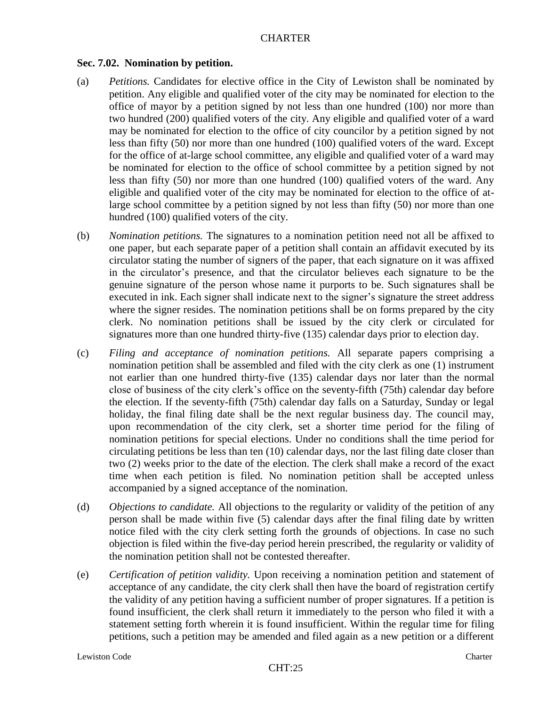### **Sec. 7.02. Nomination by petition.**

- (a) *Petitions.* Candidates for elective office in the City of Lewiston shall be nominated by petition. Any eligible and qualified voter of the city may be nominated for election to the office of mayor by a petition signed by not less than one hundred (100) nor more than two hundred (200) qualified voters of the city. Any eligible and qualified voter of a ward may be nominated for election to the office of city councilor by a petition signed by not less than fifty (50) nor more than one hundred (100) qualified voters of the ward. Except for the office of at-large school committee, any eligible and qualified voter of a ward may be nominated for election to the office of school committee by a petition signed by not less than fifty (50) nor more than one hundred (100) qualified voters of the ward. Any eligible and qualified voter of the city may be nominated for election to the office of atlarge school committee by a petition signed by not less than fifty (50) nor more than one hundred (100) qualified voters of the city.
- (b) *Nomination petitions.* The signatures to a nomination petition need not all be affixed to one paper, but each separate paper of a petition shall contain an affidavit executed by its circulator stating the number of signers of the paper, that each signature on it was affixed in the circulator's presence, and that the circulator believes each signature to be the genuine signature of the person whose name it purports to be. Such signatures shall be executed in ink. Each signer shall indicate next to the signer's signature the street address where the signer resides. The nomination petitions shall be on forms prepared by the city clerk. No nomination petitions shall be issued by the city clerk or circulated for signatures more than one hundred thirty-five (135) calendar days prior to election day.
- (c) *Filing and acceptance of nomination petitions.* All separate papers comprising a nomination petition shall be assembled and filed with the city clerk as one (1) instrument not earlier than one hundred thirty-five (135) calendar days nor later than the normal close of business of the city clerk's office on the seventy-fifth (75th) calendar day before the election. If the seventy-fifth (75th) calendar day falls on a Saturday, Sunday or legal holiday, the final filing date shall be the next regular business day. The council may, upon recommendation of the city clerk, set a shorter time period for the filing of nomination petitions for special elections. Under no conditions shall the time period for circulating petitions be less than ten (10) calendar days, nor the last filing date closer than two (2) weeks prior to the date of the election. The clerk shall make a record of the exact time when each petition is filed. No nomination petition shall be accepted unless accompanied by a signed acceptance of the nomination.
- (d) *Objections to candidate.* All objections to the regularity or validity of the petition of any person shall be made within five (5) calendar days after the final filing date by written notice filed with the city clerk setting forth the grounds of objections. In case no such objection is filed within the five-day period herein prescribed, the regularity or validity of the nomination petition shall not be contested thereafter.
- (e) *Certification of petition validity.* Upon receiving a nomination petition and statement of acceptance of any candidate, the city clerk shall then have the board of registration certify the validity of any petition having a sufficient number of proper signatures. If a petition is found insufficient, the clerk shall return it immediately to the person who filed it with a statement setting forth wherein it is found insufficient. Within the regular time for filing petitions, such a petition may be amended and filed again as a new petition or a different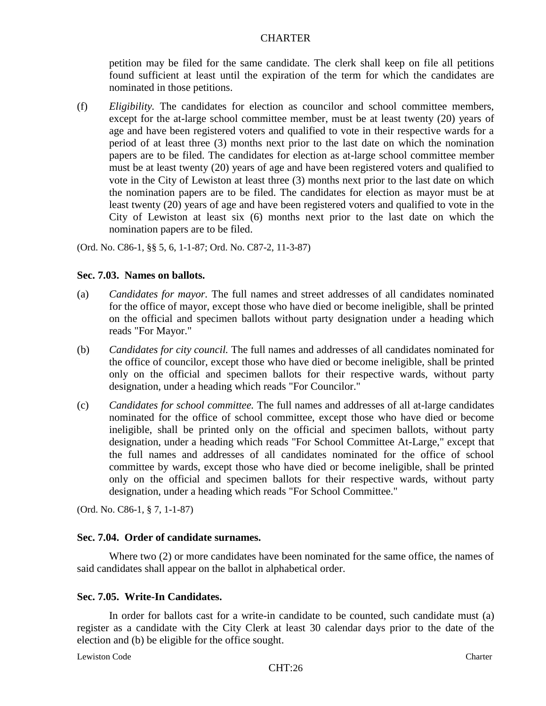petition may be filed for the same candidate. The clerk shall keep on file all petitions found sufficient at least until the expiration of the term for which the candidates are nominated in those petitions.

(f) *Eligibility.* The candidates for election as councilor and school committee members, except for the at-large school committee member, must be at least twenty (20) years of age and have been registered voters and qualified to vote in their respective wards for a period of at least three (3) months next prior to the last date on which the nomination papers are to be filed. The candidates for election as at-large school committee member must be at least twenty (20) years of age and have been registered voters and qualified to vote in the City of Lewiston at least three (3) months next prior to the last date on which the nomination papers are to be filed. The candidates for election as mayor must be at least twenty (20) years of age and have been registered voters and qualified to vote in the City of Lewiston at least six (6) months next prior to the last date on which the nomination papers are to be filed.

(Ord. No. C86-1, §§ 5, 6, 1-1-87; Ord. No. C87-2, 11-3-87)

### **Sec. 7.03. Names on ballots.**

- (a) *Candidates for mayor.* The full names and street addresses of all candidates nominated for the office of mayor, except those who have died or become ineligible, shall be printed on the official and specimen ballots without party designation under a heading which reads "For Mayor."
- (b) *Candidates for city council.* The full names and addresses of all candidates nominated for the office of councilor, except those who have died or become ineligible, shall be printed only on the official and specimen ballots for their respective wards, without party designation, under a heading which reads "For Councilor."
- (c) *Candidates for school committee.* The full names and addresses of all at-large candidates nominated for the office of school committee, except those who have died or become ineligible, shall be printed only on the official and specimen ballots, without party designation, under a heading which reads "For School Committee At-Large," except that the full names and addresses of all candidates nominated for the office of school committee by wards, except those who have died or become ineligible, shall be printed only on the official and specimen ballots for their respective wards, without party designation, under a heading which reads "For School Committee."

(Ord. No. C86-1, § 7, 1-1-87)

## **Sec. 7.04. Order of candidate surnames.**

Where two (2) or more candidates have been nominated for the same office, the names of said candidates shall appear on the ballot in alphabetical order.

#### **Sec. 7.05. Write-In Candidates.**

In order for ballots cast for a write-in candidate to be counted, such candidate must (a) register as a candidate with the City Clerk at least 30 calendar days prior to the date of the election and (b) be eligible for the office sought.

Lewiston Code Charter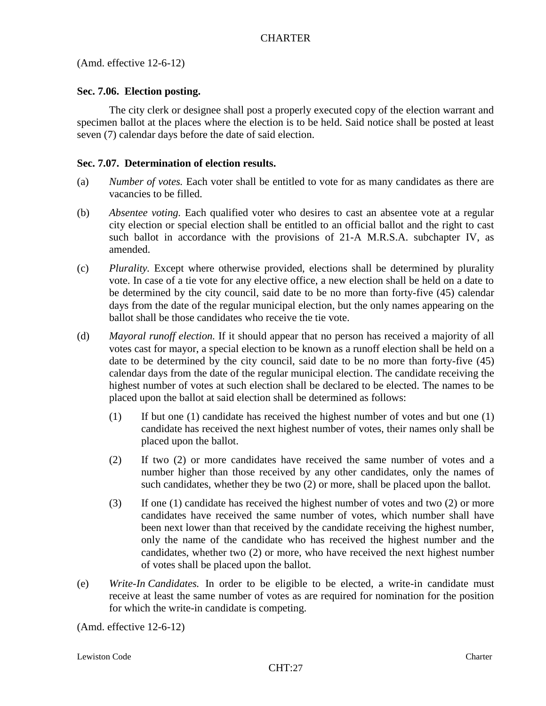(Amd. effective 12-6-12)

# **Sec. 7.06. Election posting.**

The city clerk or designee shall post a properly executed copy of the election warrant and specimen ballot at the places where the election is to be held. Said notice shall be posted at least seven (7) calendar days before the date of said election.

## **Sec. 7.07. Determination of election results.**

- (a) *Number of votes.* Each voter shall be entitled to vote for as many candidates as there are vacancies to be filled.
- (b) *Absentee voting.* Each qualified voter who desires to cast an absentee vote at a regular city election or special election shall be entitled to an official ballot and the right to cast such ballot in accordance with the provisions of 21-A M.R.S.A. subchapter IV, as amended.
- (c) *Plurality.* Except where otherwise provided, elections shall be determined by plurality vote. In case of a tie vote for any elective office, a new election shall be held on a date to be determined by the city council, said date to be no more than forty-five (45) calendar days from the date of the regular municipal election, but the only names appearing on the ballot shall be those candidates who receive the tie vote.
- (d) *Mayoral runoff election.* If it should appear that no person has received a majority of all votes cast for mayor, a special election to be known as a runoff election shall be held on a date to be determined by the city council, said date to be no more than forty-five (45) calendar days from the date of the regular municipal election. The candidate receiving the highest number of votes at such election shall be declared to be elected. The names to be placed upon the ballot at said election shall be determined as follows:
	- (1) If but one (1) candidate has received the highest number of votes and but one (1) candidate has received the next highest number of votes, their names only shall be placed upon the ballot.
	- (2) If two (2) or more candidates have received the same number of votes and a number higher than those received by any other candidates, only the names of such candidates, whether they be two (2) or more, shall be placed upon the ballot.
	- (3) If one (1) candidate has received the highest number of votes and two (2) or more candidates have received the same number of votes, which number shall have been next lower than that received by the candidate receiving the highest number, only the name of the candidate who has received the highest number and the candidates, whether two (2) or more, who have received the next highest number of votes shall be placed upon the ballot.
- (e) *Write-In Candidates.* In order to be eligible to be elected, a write-in candidate must receive at least the same number of votes as are required for nomination for the position for which the write-in candidate is competing.

(Amd. effective 12-6-12)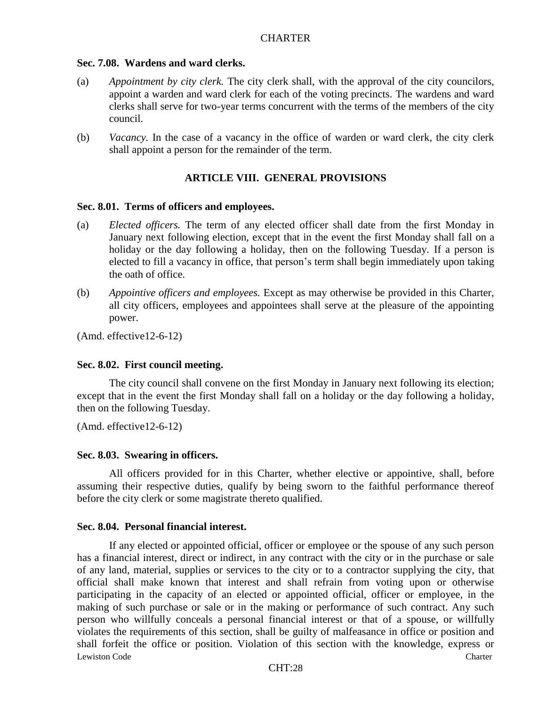#### **Sec. 7.08. Wardens and ward clerks.**

- (a) *Appointment by city clerk.* The city clerk shall, with the approval of the city councilors, appoint a warden and ward clerk for each of the voting precincts. The wardens and ward clerks shall serve for two-year terms concurrent with the terms of the members of the city council.
- (b) *Vacancy.* In the case of a vacancy in the office of warden or ward clerk, the city clerk shall appoint a person for the remainder of the term.

### **ARTICLE VIII. GENERAL PROVISIONS**

#### **Sec. 8.01. Terms of officers and employees.**

- (a) *Elected officers.* The term of any elected officer shall date from the first Monday in January next following election, except that in the event the first Monday shall fall on a holiday or the day following a holiday, then on the following Tuesday. If a person is elected to fill a vacancy in office, that person's term shall begin immediately upon taking the oath of office.
- (b) *Appointive officers and employees.* Except as may otherwise be provided in this Charter, all city officers, employees and appointees shall serve at the pleasure of the appointing power.

(Amd. effective12-6-12)

#### **Sec. 8.02. First council meeting.**

The city council shall convene on the first Monday in January next following its election; except that in the event the first Monday shall fall on a holiday or the day following a holiday, then on the following Tuesday.

(Amd. effective12-6-12)

#### **Sec. 8.03. Swearing in officers.**

All officers provided for in this Charter, whether elective or appointive, shall, before assuming their respective duties, qualify by being sworn to the faithful performance thereof before the city clerk or some magistrate thereto qualified.

### **Sec. 8.04. Personal financial interest.**

Lewiston Code Charter Communication Code Charter Charter Charter Charter Charter Charter Charter Charter Charter If any elected or appointed official, officer or employee or the spouse of any such person has a financial interest, direct or indirect, in any contract with the city or in the purchase or sale of any land, material, supplies or services to the city or to a contractor supplying the city, that official shall make known that interest and shall refrain from voting upon or otherwise participating in the capacity of an elected or appointed official, officer or employee, in the making of such purchase or sale or in the making or performance of such contract. Any such person who willfully conceals a personal financial interest or that of a spouse, or willfully violates the requirements of this section, shall be guilty of malfeasance in office or position and shall forfeit the office or position. Violation of this section with the knowledge, express or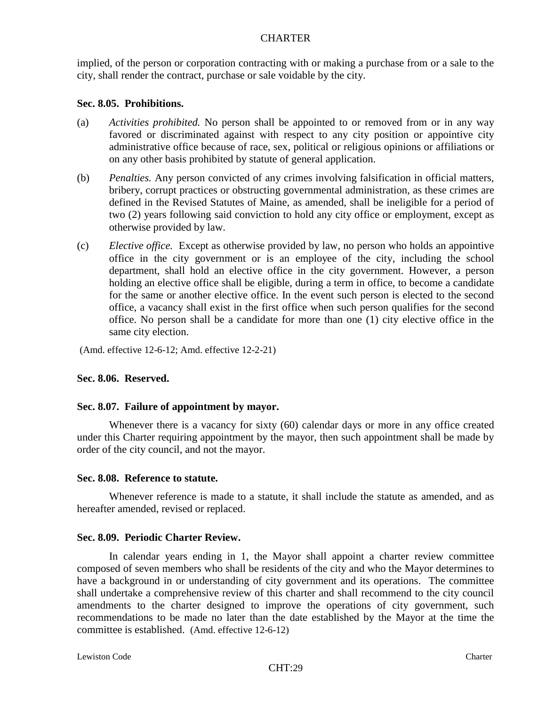implied, of the person or corporation contracting with or making a purchase from or a sale to the city, shall render the contract, purchase or sale voidable by the city.

#### **Sec. 8.05. Prohibitions.**

- (a) *Activities prohibited.* No person shall be appointed to or removed from or in any way favored or discriminated against with respect to any city position or appointive city administrative office because of race, sex, political or religious opinions or affiliations or on any other basis prohibited by statute of general application.
- (b) *Penalties.* Any person convicted of any crimes involving falsification in official matters, bribery, corrupt practices or obstructing governmental administration, as these crimes are defined in the Revised Statutes of Maine, as amended, shall be ineligible for a period of two (2) years following said conviction to hold any city office or employment, except as otherwise provided by law.
- (c) *Elective office.* Except as otherwise provided by law, no person who holds an appointive office in the city government or is an employee of the city, including the school department, shall hold an elective office in the city government. However, a person holding an elective office shall be eligible, during a term in office, to become a candidate for the same or another elective office. In the event such person is elected to the second office, a vacancy shall exist in the first office when such person qualifies for the second office. No person shall be a candidate for more than one (1) city elective office in the same city election.

(Amd. effective 12-6-12; Amd. effective 12-2-21)

## **Sec. 8.06. Reserved.**

#### **Sec. 8.07. Failure of appointment by mayor.**

Whenever there is a vacancy for sixty (60) calendar days or more in any office created under this Charter requiring appointment by the mayor, then such appointment shall be made by order of the city council, and not the mayor.

#### **Sec. 8.08. Reference to statute.**

Whenever reference is made to a statute, it shall include the statute as amended, and as hereafter amended, revised or replaced.

#### **Sec. 8.09. Periodic Charter Review.**

In calendar years ending in 1, the Mayor shall appoint a charter review committee composed of seven members who shall be residents of the city and who the Mayor determines to have a background in or understanding of city government and its operations. The committee shall undertake a comprehensive review of this charter and shall recommend to the city council amendments to the charter designed to improve the operations of city government, such recommendations to be made no later than the date established by the Mayor at the time the committee is established. (Amd. effective 12-6-12)